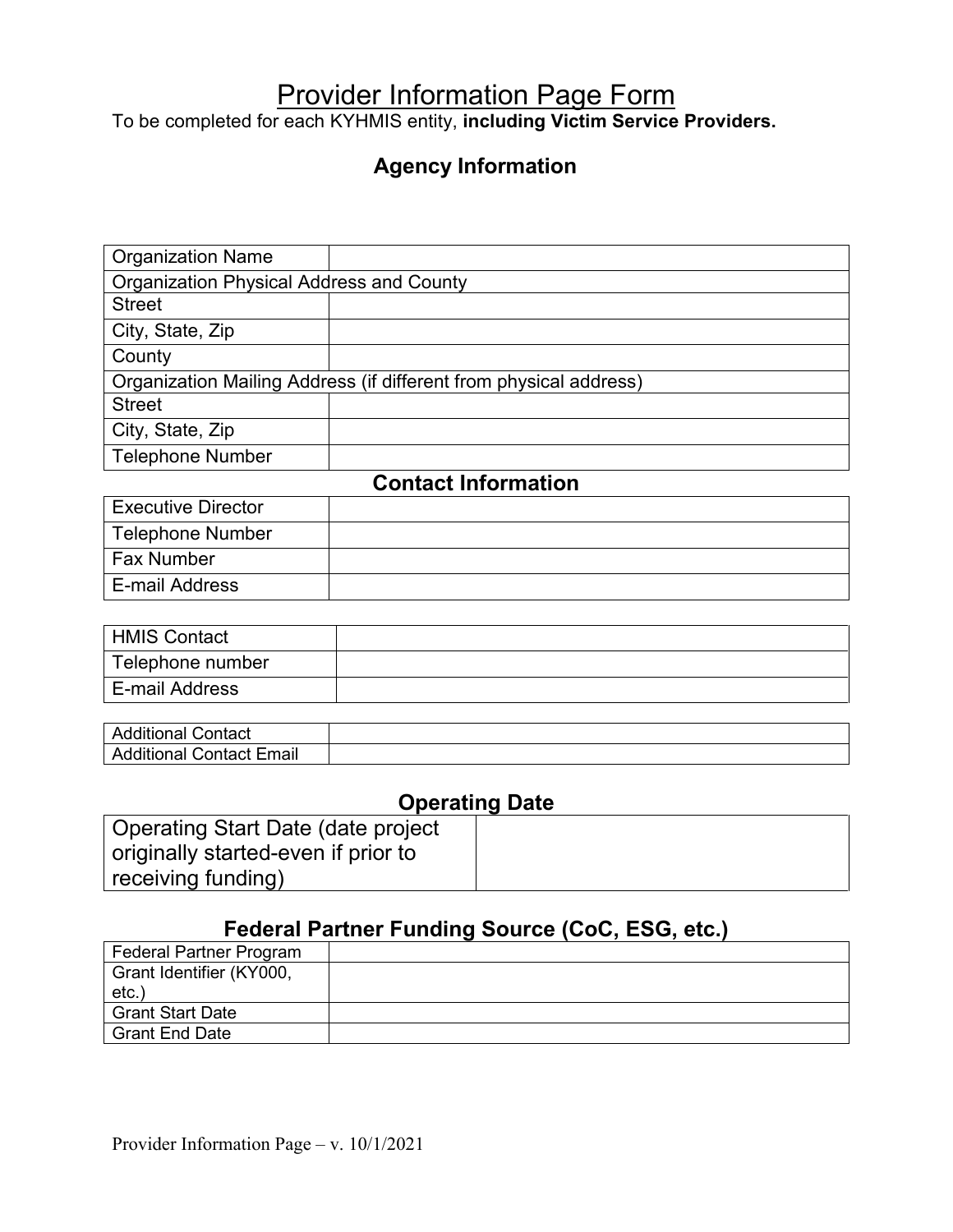# Provider Information Page Form

To be completed for each KYHMIS entity, **including Victim Service Providers.** 

## **Agency Information**

| <b>Organization Name</b>                        |                                                                   |
|-------------------------------------------------|-------------------------------------------------------------------|
| <b>Organization Physical Address and County</b> |                                                                   |
| <b>Street</b>                                   |                                                                   |
| City, State, Zip                                |                                                                   |
| County                                          |                                                                   |
|                                                 | Organization Mailing Address (if different from physical address) |
| <b>Street</b>                                   |                                                                   |
| City, State, Zip                                |                                                                   |
| <b>Telephone Number</b>                         |                                                                   |
|                                                 | <b>Contact Information</b>                                        |
| <b>Executive Director</b>                       |                                                                   |
| <b>Telephone Number</b>                         |                                                                   |
| <b>Fax Number</b>                               |                                                                   |

| <b>HMIS Contact</b> |  |
|---------------------|--|
| Telephone number    |  |
| E-mail Address      |  |
|                     |  |

| Contact<br>$-0.001$<br>Additional       |  |
|-----------------------------------------|--|
| Email<br>Additional <b>(</b><br>Contact |  |

## **Operating Date**

| Operating Start Date (date project  |  |
|-------------------------------------|--|
| originally started-even if prior to |  |
| receiving funding)                  |  |

## **Federal Partner Funding Source (CoC, ESG, etc.)**

| Federal Partner Program  |  |
|--------------------------|--|
| Grant Identifier (KY000, |  |
| etc.                     |  |
| <b>Grant Start Date</b>  |  |
| <b>Grant End Date</b>    |  |

E-mail Address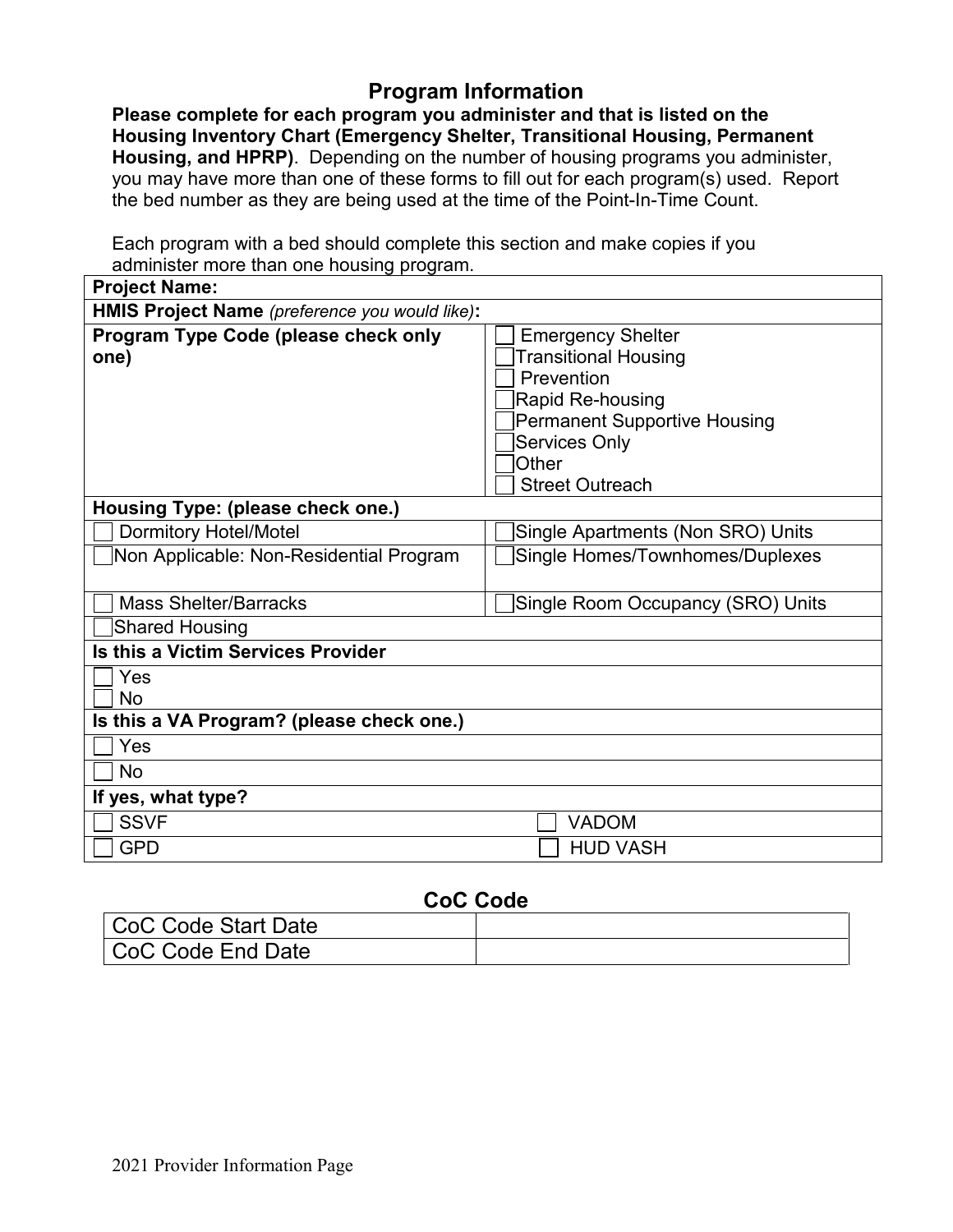#### **Program Information**

**Please complete for each program you administer and that is listed on the Housing Inventory Chart (Emergency Shelter, Transitional Housing, Permanent Housing, and HPRP)**. Depending on the number of housing programs you administer, you may have more than one of these forms to fill out for each program(s) used. Report the bed number as they are being used at the time of the Point-In-Time Count.

Each program with a bed should complete this section and make copies if you administer more than one housing program.

| <b>Project Name:</b>                                   |                                                                                                                                                                                                    |
|--------------------------------------------------------|----------------------------------------------------------------------------------------------------------------------------------------------------------------------------------------------------|
| HMIS Project Name (preference you would like):         |                                                                                                                                                                                                    |
| Program Type Code (please check only<br>one)           | <b>Emergency Shelter</b><br><b>Transitional Housing</b><br>Prevention<br>Rapid Re-housing<br><b>Permanent Supportive Housing</b><br><b>Services Only</b><br><b>Other</b><br><b>Street Outreach</b> |
| Housing Type: (please check one.)                      |                                                                                                                                                                                                    |
| <b>Dormitory Hotel/Motel</b>                           | Single Apartments (Non SRO) Units                                                                                                                                                                  |
| Non Applicable: Non-Residential Program                | Single Homes/Townhomes/Duplexes                                                                                                                                                                    |
| <b>Mass Shelter/Barracks</b>                           | Single Room Occupancy (SRO) Units                                                                                                                                                                  |
| <b>Shared Housing</b>                                  |                                                                                                                                                                                                    |
| Is this a Victim Services Provider                     |                                                                                                                                                                                                    |
| Yes                                                    |                                                                                                                                                                                                    |
| <b>No</b><br>Is this a VA Program? (please check one.) |                                                                                                                                                                                                    |
| Yes                                                    |                                                                                                                                                                                                    |
| <b>No</b>                                              |                                                                                                                                                                                                    |
| If yes, what type?                                     |                                                                                                                                                                                                    |
|                                                        |                                                                                                                                                                                                    |
| <b>SSVF</b>                                            | <b>VADOM</b>                                                                                                                                                                                       |
| <b>GPD</b>                                             | <b>HUD VASH</b>                                                                                                                                                                                    |

#### **CoC Code**

| CoC Code Start Date |  |
|---------------------|--|
| CoC Code End Date   |  |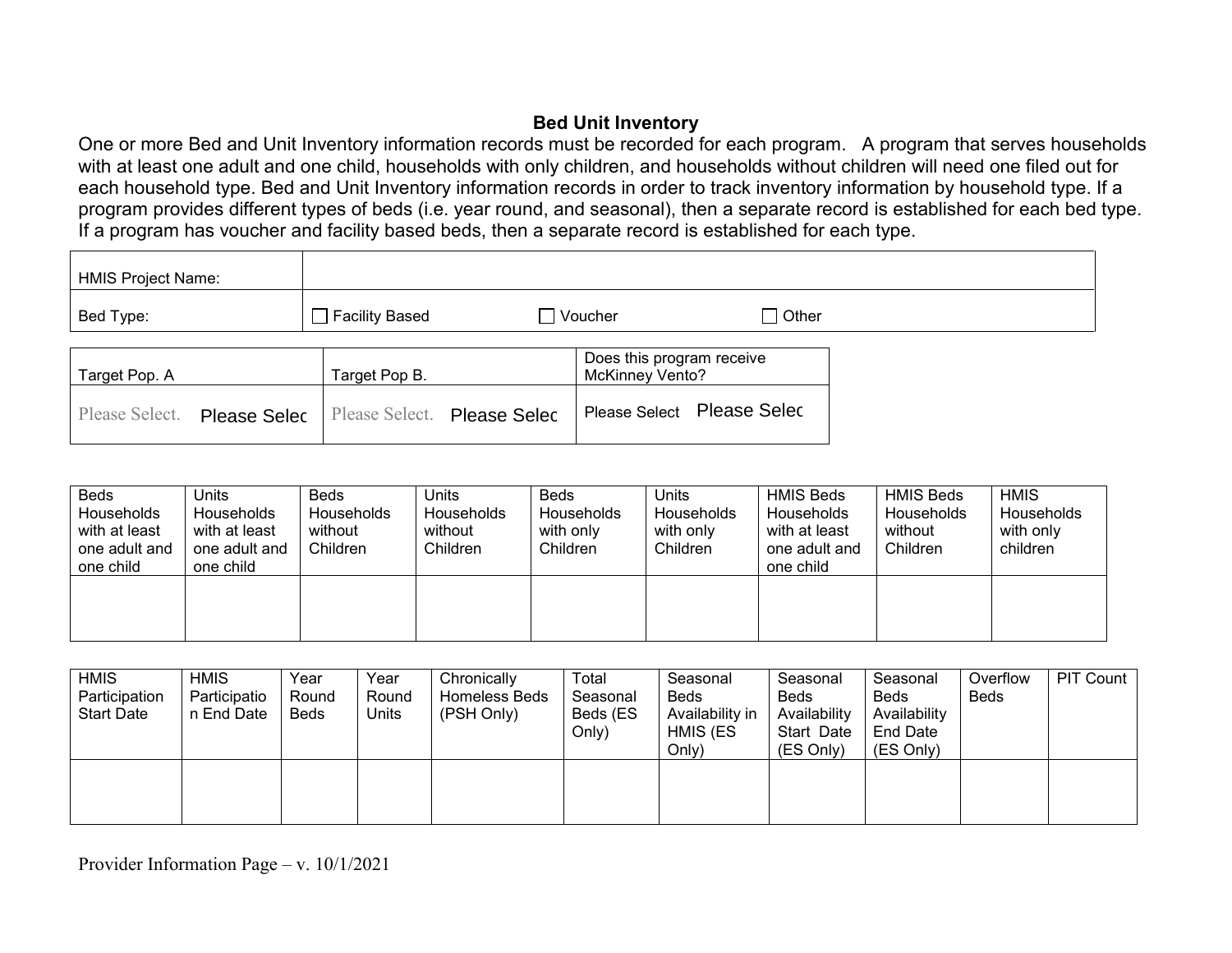#### **Bed Unit Inventory**

One or more Bed and Unit Inventory information records must be recorded for each program. A program that serves households with at least one adult and one child, households with only children, and households without children will need one filed out for each household type. Bed and Unit Inventory information records in order to track inventory information by household type. If a program provides different types of beds (i.e. year round, and seasonal), then a separate record is established for each bed type. If a program has voucher and facility based beds, then a separate record is established for each type.

| <b>HMIS Project Name:</b> |                                            |                                                     |                            |
|---------------------------|--------------------------------------------|-----------------------------------------------------|----------------------------|
| Bed Type:                 | $\Box$ Facility Based                      | $\Box$ Voucher                                      | ∩ Other                    |
| Target Pop. A             | Target Pop B.                              | Does this program receive<br><b>McKinney Vento?</b> |                            |
| Please Select.            | Please Selec   Please Select. Please Selec |                                                     | Please Select Please Selec |

| <b>Beds</b><br>Households<br>with at least<br>one adult and<br>one child | Units<br>Households<br>with at least<br>one adult and<br>one child | Beds<br>Households<br>without<br>Children | Units<br><b>Households</b><br>without<br>Children | <b>Beds</b><br>Households<br>with only<br>Children | Units<br><b>Households</b><br>with only<br>Children | <b>HMIS Beds</b><br>Households<br>with at least<br>one adult and<br>one child | <b>HMIS Beds</b><br>Households<br>without<br>Children | <b>HMIS</b><br>Households<br>with only<br>children |
|--------------------------------------------------------------------------|--------------------------------------------------------------------|-------------------------------------------|---------------------------------------------------|----------------------------------------------------|-----------------------------------------------------|-------------------------------------------------------------------------------|-------------------------------------------------------|----------------------------------------------------|
|                                                                          |                                                                    |                                           |                                                   |                                                    |                                                     |                                                                               |                                                       |                                                    |

| <b>HMIS</b><br>Participation<br><b>Start Date</b> | <b>HMIS</b><br>Participatio<br>n End Date | Year<br>Round<br><b>Beds</b> | Year<br>Round<br>Units | Chronically<br>Homeless Beds<br>(PSH Only) | Total<br>Seasonal<br>Beds (ES<br>Only) | Seasonal<br><b>Beds</b><br>Availability in<br>HMIS (ES<br>Only) | Seasonal<br><b>Beds</b><br>Availability<br>Start Date<br>(ES Only) | Seasonal<br><b>Beds</b><br>Availability<br>End Date<br>(ES Only) | Overflow<br><b>Beds</b> | PIT Count |
|---------------------------------------------------|-------------------------------------------|------------------------------|------------------------|--------------------------------------------|----------------------------------------|-----------------------------------------------------------------|--------------------------------------------------------------------|------------------------------------------------------------------|-------------------------|-----------|
|                                                   |                                           |                              |                        |                                            |                                        |                                                                 |                                                                    |                                                                  |                         |           |

Provider Information Page – v. 10/1/2021